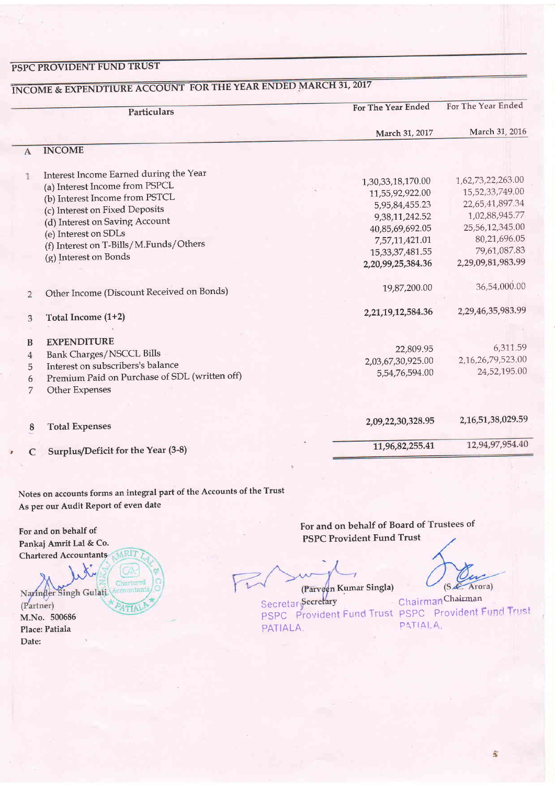### PSPC PROVIDENT FUND TRUST

|                                    | Particulars                                                                                                                                                                                                                                                               | For The Year Ended                                                                                                                                        | For The Year Ended                                                                                                                                |
|------------------------------------|---------------------------------------------------------------------------------------------------------------------------------------------------------------------------------------------------------------------------------------------------------------------------|-----------------------------------------------------------------------------------------------------------------------------------------------------------|---------------------------------------------------------------------------------------------------------------------------------------------------|
|                                    |                                                                                                                                                                                                                                                                           | March 31, 2017                                                                                                                                            | March 31, 2016                                                                                                                                    |
| A                                  | <b>INCOME</b>                                                                                                                                                                                                                                                             |                                                                                                                                                           |                                                                                                                                                   |
| $\mathbf{1}$                       | Interest Income Earned during the Year<br>(a) Interest Income from PSPCL<br>(b) Interest Income from PSTCL<br>(c) Interest on Fixed Deposits<br>(d) Interest on Saving Account<br>(e) Interest on SDLs<br>(f) Interest on T-Bills/M.Funds/Others<br>(g) Interest on Bonds | 1,30,33,18,170.00<br>11,55,92,922.00<br>5,95,84,455.23<br>9,38,11,242.52<br>40,85,69,692.05<br>7,57,11,421.01<br>15, 33, 37, 481. 55<br>2,20,99,25,384.36 | 1,62,73,22,263.00<br>15,52,33,749.00<br>22,65,41,897.34<br>1,02,88,945.77<br>25,56,12,345.00<br>80,21,696.05<br>79,61,087.83<br>2,29,09,81,983.99 |
| $\overline{2}$                     | Other Income (Discount Received on Bonds)                                                                                                                                                                                                                                 | 19,87,200.00                                                                                                                                              | 36,54,000.00                                                                                                                                      |
| 3                                  | Total Income (1+2)                                                                                                                                                                                                                                                        | 2,21,19,12,584.36                                                                                                                                         | 2,29,46,35,983.99                                                                                                                                 |
| B<br>$\overline{4}$<br>5<br>6<br>7 | <b>EXPENDITURE</b><br><b>Bank Charges/NSCCL Bills</b><br>Interest on subscribers's balance<br>Premium Paid on Purchase of SDL (written off)<br>Other Expenses                                                                                                             | 22,809.95<br>2,03,67,30,925.00<br>5,54,76,594.00                                                                                                          | 6,311.59<br>2,16,26,79,523.00<br>24,52,195.00                                                                                                     |
| 8                                  | <b>Total Expenses</b>                                                                                                                                                                                                                                                     | 2,09,22,30,328.95                                                                                                                                         | 2, 16, 51, 38, 029. 59                                                                                                                            |
| C                                  | Surplus/Deficit for the Year (3-8)                                                                                                                                                                                                                                        | 11,96,82,255.41                                                                                                                                           | 12,94,97,954.40                                                                                                                                   |

## INCOME & EXPENDTIURE ACCOUNT FOR THE YEAR ENDED MARCH 31, 2017

Notes on accounts forms an integral part of the Accounts of the Trust As per our Audit Report of even date

For and on behalf of Pankaj Amrit Lal & Co. Chartered Accountants

Narinder Singh Gulati (Partner) M.No. 500686 Place: Patiala Date:

For and on behalf of Board of Trustees of **PSPC Provident Fund Trust** 

(Parveen Kumar Singla)

(S.C. Arora)

Secretar Secretary PATIALA.

ChairmanChairman PSPC Provident Fund Trust PSPC Provident Fund Trust PATIALA,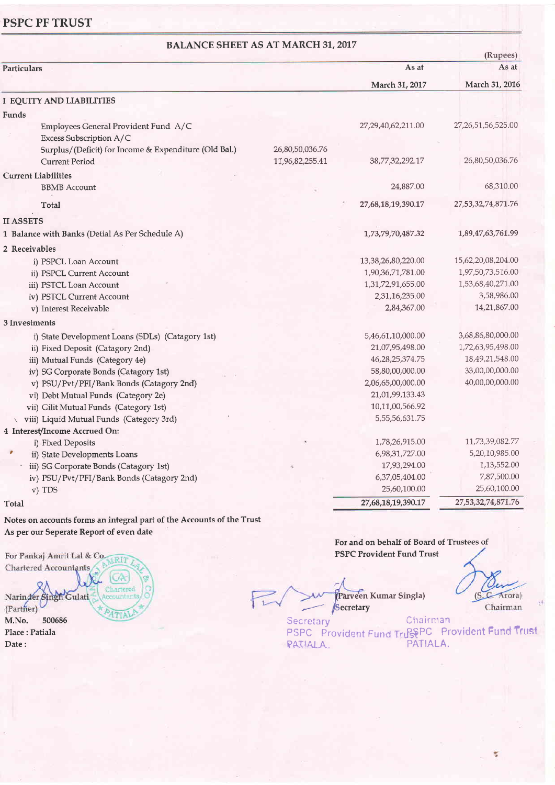### PSPC PF TRUST

| <b>BALANCE SHEET AS AT MARCH 31, 2017</b><br>(Rupees)           |                 |                     |                    |  |
|-----------------------------------------------------------------|-----------------|---------------------|--------------------|--|
| Particulars                                                     |                 | As at               | As at              |  |
|                                                                 |                 | March 31, 2017      | March 31, 2016     |  |
| I EQUITY AND LIABILITIES                                        |                 |                     |                    |  |
| Funds                                                           |                 |                     |                    |  |
| Employees General Provident Fund A/C<br>Excess Subscription A/C |                 | 27,29,40,62,211.00  | 27,26,51,56,525.00 |  |
| Surplus/(Deficit) for Income & Expenditure (Old Bal.)           | 26,80,50,036.76 |                     |                    |  |
| <b>Current Period</b>                                           | 11,96,82,255.41 | 38,77,32,292.17     | 26,80,50,036.76    |  |
| <b>Current Liabilities</b>                                      |                 |                     |                    |  |
| <b>BBMB</b> Account                                             |                 | 24,887.00           | 68,310.00          |  |
| Total                                                           |                 | 27,68,18,19,390.17  | 27,53,32,74,871.76 |  |
| <b>II ASSETS</b>                                                |                 |                     |                    |  |
| 1 Balance with Banks (Detial As Per Schedule A)                 |                 | 1,73,79,70,487.32   | 1,89,47,63,761.99  |  |
| 2 Receivables                                                   |                 |                     |                    |  |
| i) PSPCL Loan Account                                           |                 | 13,38,26,80,220.00  | 15,62,20,08,204.00 |  |
| ii) PSPCL Current Account                                       |                 | 1,90,36,71,781.00   | 1,97,50,73,516.00  |  |
| iii) PSTCL Loan Account                                         |                 | 1,31,72,91,655.00   | 1,53,68,40,271.00  |  |
| iv) PSTCL Current Account                                       |                 | 2,31,16,235.00      | 3,58,986.00        |  |
| v) Interest Receivable                                          |                 | 2,84,367.00         | 14,21,867.00       |  |
| 3 Investments                                                   |                 |                     |                    |  |
| i) State Development Loans (SDLs) (Catagory 1st)                |                 | 5,46,61,10,000.00   | 3,68,86,80,000.00  |  |
| ii) Fixed Deposit (Catagory 2nd)                                |                 | 21,07,95,498.00     | 1,72,63,95,498.00  |  |
| iii) Mutual Funds (Category 4e)                                 |                 | 46, 28, 25, 374. 75 | 18,49,21,548.00    |  |
| iv) SG Corporate Bonds (Catagory 1st)                           |                 | 58,80,00,000.00     | 33,00,00,000.00    |  |
| v) PSU/Pvt/PFI/Bank Bonds (Catagory 2nd)                        |                 | 2,06,65,00,000.00   | 40,00,00,000.00    |  |
| vi) Debt Mutual Funds (Category 2e)                             |                 | 21,01,99,133.43     |                    |  |
| vii) Gilit Mutual Funds (Category 1st)                          |                 | 10,11,00,566.92     |                    |  |
| viii) Liquid Mutual Funds (Category 3rd)                        |                 | 5,55,56,631.75      |                    |  |
| 4 Interest/Income Accrued On:                                   |                 |                     |                    |  |
| i) Fixed Deposits                                               |                 | 1,78,26,915.00      | 11,73,39,082.77    |  |
| $\pmb{\pi}$<br>ii) State Developments Loans                     |                 | 6,98,31,727.00      | 5,20,10,985.00     |  |
| iii) SG Corporate Bonds (Catagory 1st)                          |                 | 17,93,294.00        | 1,13,552.00        |  |
| iv) PSU/Pvt/PFI/Bank Bonds (Catagory 2nd)                       |                 | 6,37,05,404.00      | 7,87,500.00        |  |
| v) TDS                                                          |                 | 25,60,100.00        | 25,60,100.00       |  |
| Total                                                           |                 | 27,68,18,19,390.17  | 27,53,32,74,871.76 |  |
|                                                                 |                 |                     |                    |  |

Notes on accounts forms an integral part of the Accounts of the Trust As per our Seperate Report of even date

For Pankaj Amrit Lal & Co. RIT Chartered Accountants Narinder Singh Gulati<br>(Partner)<br>M.No. 500686 Place : Patiala

Date:

Parveen Kumar Singla) Secretary

(S.C. Arora) Chairman

 $\frac{m}{d}$ 

**Secretary** PSPC Provident Fund TrustPC Provident Fund Trust FATIAIA-Chairman PATIALA.

For and on behalf of Board of Trustees of

PSPC Provident Fund Trust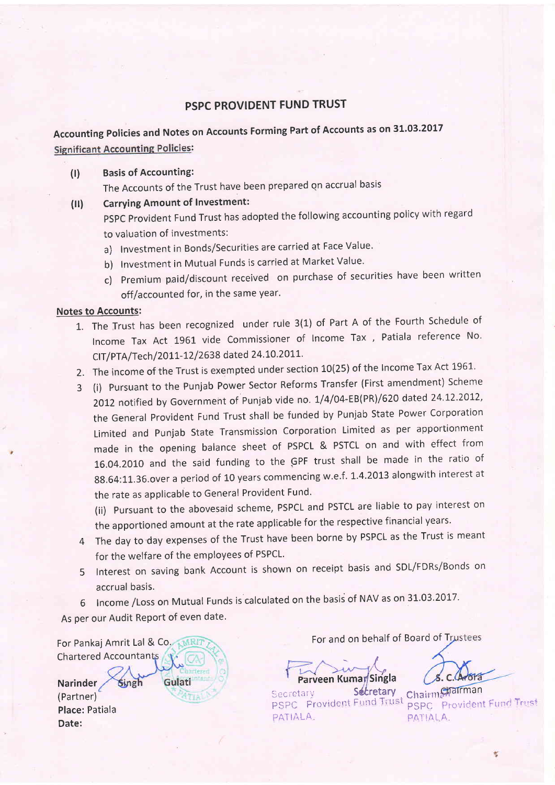### PSPC PROVIDENT FUND TRUST

Accounting Policies and Notes on Accounts Forming Part of Accounts as on 31.03.2017 **Significant Accounting Policies:** 

#### (l) Basis of Accounting:

The Accounts of the Trust have been prepared qn accrual basis

(ll) Carrying Amount of Investment:

pSpc provident Fund Trust has adopted the following accounting policy with regard to valuation of investments:

- a) Investment in Bonds/Securities are carried at Face Value.
- b) Investment in Mutual Funds is carried at Market Value.
- c) premium paid/discount received on purchase of securities have been written off/accounted for, in the same year.

Notes to Accounts:

- 1. The Trust has been recognized under rule 3(1) of Part A of the Fourth Schedule of lncome Tax Act 1961 vide Commissioner of lncome Tax , Patiala reference No' CIT/PTA/Tech/2011-12/2638 dated 24.10.2011.
- 2. The income of the Trust is exempted under section 10(25) of the Income Tax Act 1961.
- 3 (i) pursuant to the punjab Power Sector Reforms Transfer (First amendment) Scheme 2012 notified by Government of Punjab vide no. 1/4/04-EB(PR)/620 dated 24.12.2012, the General provident Fund Trust shall be funded by Punjab State Power Corporation Limited and punjab State Transmission Corporation Limited as per apportionment made in the opening balance sheet of PSPCL & PSTCL on and with effect from 16.04.2010 and the said funding to the GPF trust shall be made in the ratio of 88.64:11.36.over a period of 10 years commencing w.e.f. 1.4.2013 alongwith interest at the rate as applicable to General Provident Fund.

(ii) pursuant to the abovesaid scheme, PSPCL and PSTCL are liable to pay interest on the apportioned amount at the rate applicable for the respective financial years.

- 4 The day to day expenses of the Trust have been borne by PSPCL as the Trust is meant for the welfare of the employees of PSPCL.
- 5 Interest on saving bank Account is shown on receipt basis and SDL/FDRs/Bonds on accrual basis.
- 6 Income / Loss on Mutual Funds is calculated on the basis of NAV as on 31.03.2017.

As per our Audit Report of even date.

Chartered Accountan Gulati Singh

**Narinder** 

(Partner) Place: Patiala Date:

For Pankaj Amrit Lal & Co. MRIT

f **Parveen Kumar**Singla

Secretary Secretary Chair PSPC Provident Fund Trust PSPC PATIALA PATIALA

Secretary Chairman PSPC Provident Fund Trust